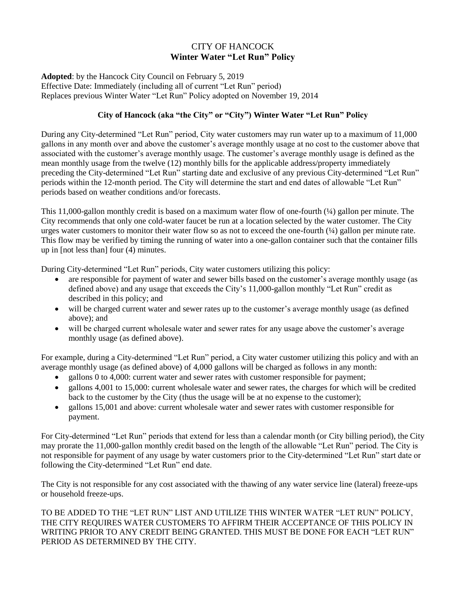## CITY OF HANCOCK **Winter Water "Let Run" Policy**

**Adopted**: by the Hancock City Council on February 5, 2019 Effective Date: Immediately (including all of current "Let Run" period) Replaces previous Winter Water "Let Run" Policy adopted on November 19, 2014

## **City of Hancock (aka "the City" or "City") Winter Water "Let Run" Policy**

During any City-determined "Let Run" period, City water customers may run water up to a maximum of 11,000 gallons in any month over and above the customer's average monthly usage at no cost to the customer above that associated with the customer's average monthly usage. The customer's average monthly usage is defined as the mean monthly usage from the twelve (12) monthly bills for the applicable address/property immediately preceding the City-determined "Let Run" starting date and exclusive of any previous City-determined "Let Run" periods within the 12-month period. The City will determine the start and end dates of allowable "Let Run" periods based on weather conditions and/or forecasts.

This 11,000-gallon monthly credit is based on a maximum water flow of one-fourth (¼) gallon per minute. The City recommends that only one cold-water faucet be run at a location selected by the water customer. The City urges water customers to monitor their water flow so as not to exceed the one-fourth  $(½)$  gallon per minute rate. This flow may be verified by timing the running of water into a one-gallon container such that the container fills up in [not less than] four (4) minutes.

During City-determined "Let Run" periods, City water customers utilizing this policy:

- are responsible for payment of water and sewer bills based on the customer's average monthly usage (as defined above) and any usage that exceeds the City's 11,000-gallon monthly "Let Run" credit as described in this policy; and
- will be charged current water and sewer rates up to the customer's average monthly usage (as defined above); and
- will be charged current wholesale water and sewer rates for any usage above the customer's average monthly usage (as defined above).

For example, during a City-determined "Let Run" period, a City water customer utilizing this policy and with an average monthly usage (as defined above) of 4,000 gallons will be charged as follows in any month:

- gallons 0 to 4,000: current water and sewer rates with customer responsible for payment;
- gallons 4,001 to 15,000: current wholesale water and sewer rates, the charges for which will be credited back to the customer by the City (thus the usage will be at no expense to the customer);
- gallons 15,001 and above: current wholesale water and sewer rates with customer responsible for payment.

For City-determined "Let Run" periods that extend for less than a calendar month (or City billing period), the City may prorate the 11,000-gallon monthly credit based on the length of the allowable "Let Run" period. The City is not responsible for payment of any usage by water customers prior to the City-determined "Let Run" start date or following the City-determined "Let Run" end date.

The City is not responsible for any cost associated with the thawing of any water service line (lateral) freeze-ups or household freeze-ups.

TO BE ADDED TO THE "LET RUN" LIST AND UTILIZE THIS WINTER WATER "LET RUN" POLICY, THE CITY REQUIRES WATER CUSTOMERS TO AFFIRM THEIR ACCEPTANCE OF THIS POLICY IN WRITING PRIOR TO ANY CREDIT BEING GRANTED. THIS MUST BE DONE FOR EACH "LET RUN" PERIOD AS DETERMINED BY THE CITY.